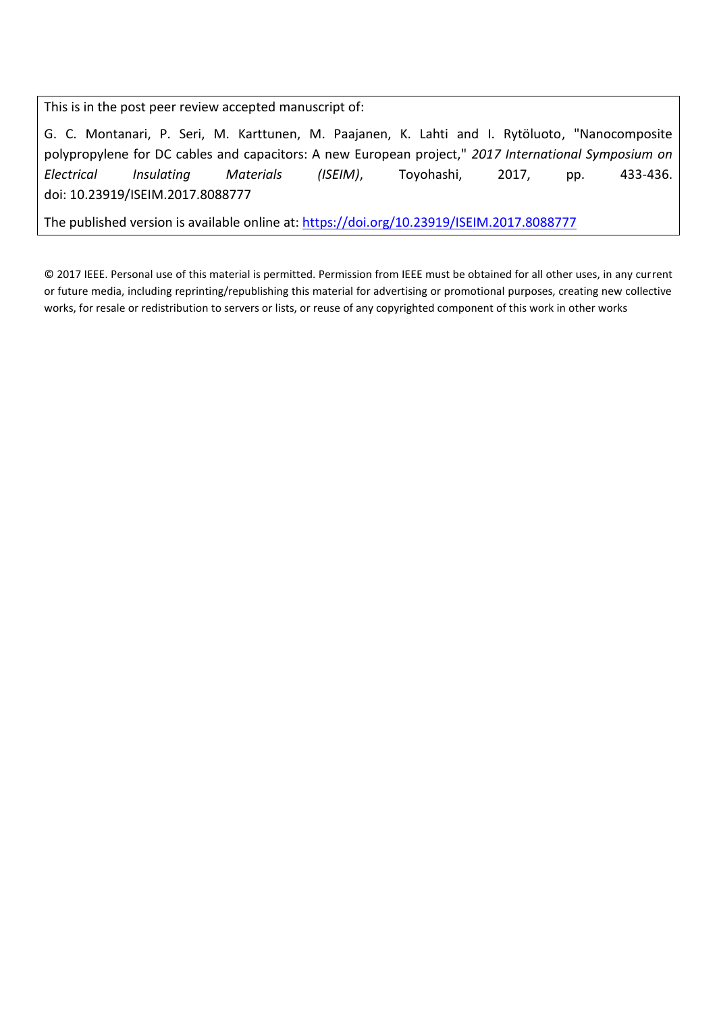This is in the post peer review accepted manuscript of:

G. C. Montanari, P. Seri, M. Karttunen, M. Paajanen, K. Lahti and I. Rytöluoto, "Nanocomposite polypropylene for DC cables and capacitors: A new European project," *2017 International Symposium on Electrical Insulating Materials (ISEIM)*, Toyohashi, 2017, pp. 433-436. doi: 10.23919/ISEIM.2017.8088777

The published version is available online at:<https://doi.org/10.23919/ISEIM.2017.8088777>

© 2017 IEEE. Personal use of this material is permitted. Permission from IEEE must be obtained for all other uses, in any current or future media, including reprinting/republishing this material for advertising or promotional purposes, creating new collective works, for resale or redistribution to servers or lists, or reuse of any copyrighted component of this work in other works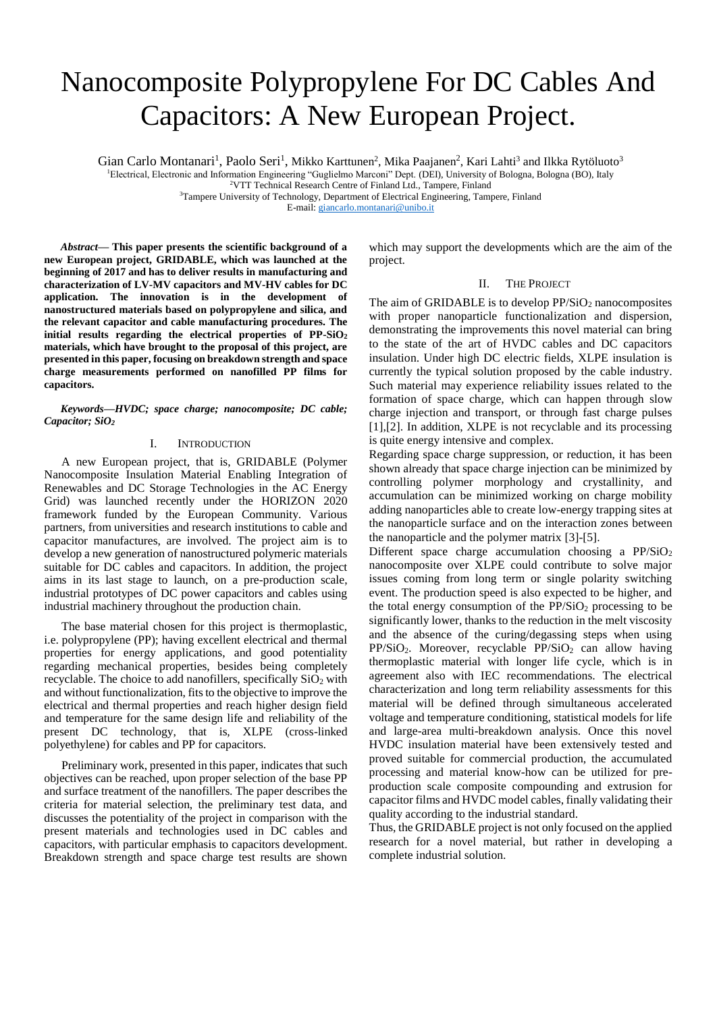# Nanocomposite Polypropylene For DC Cables And Capacitors: A New European Project.

Gian Carlo Montanari<sup>1</sup>, Paolo Seri<sup>1</sup>, Mikko Karttunen<sup>2</sup>, Mika Paajanen<sup>2</sup>, Kari Lahti<sup>3</sup> and Ilkka Rytöluoto<sup>3</sup>

<sup>1</sup>Electrical, Electronic and Information Engineering "Guglielmo Marconi" Dept. (DEI), University of Bologna, Bologna (BO), Italy

<sup>2</sup>VTT Technical Research Centre of Finland Ltd., Tampere, Finland

<sup>3</sup>Tampere University of Technology, Department of Electrical Engineering, Tampere, Finland E-mail[: giancarlo.montanari@unibo.it](mailto:giancarlo.montanari@unibo.it)

*Abstract***— This paper presents the scientific background of a new European project, GRIDABLE, which was launched at the beginning of 2017 and has to deliver results in manufacturing and characterization of LV-MV capacitors and MV-HV cables for DC application. The innovation is in the development of nanostructured materials based on polypropylene and silica, and the relevant capacitor and cable manufacturing procedures. The initial results regarding the electrical properties of PP-SiO<sup>2</sup> materials, which have brought to the proposal of this project, are presented in this paper, focusing on breakdown strength and space charge measurements performed on nanofilled PP films for capacitors.**

*Keywords—HVDC; space charge; nanocomposite; DC cable; Capacitor; SiO<sup>2</sup>*

## I. INTRODUCTION

A new European project, that is, GRIDABLE (Polymer Nanocomposite Insulation Material Enabling Integration of Renewables and DC Storage Technologies in the AC Energy Grid) was launched recently under the HORIZON 2020 framework funded by the European Community. Various partners, from universities and research institutions to cable and capacitor manufactures, are involved. The project aim is to develop a new generation of nanostructured polymeric materials suitable for DC cables and capacitors. In addition, the project aims in its last stage to launch, on a pre-production scale, industrial prototypes of DC power capacitors and cables using industrial machinery throughout the production chain.

The base material chosen for this project is thermoplastic, i.e. polypropylene (PP); having excellent electrical and thermal properties for energy applications, and good potentiality regarding mechanical properties, besides being completely recyclable. The choice to add nanofillers, specifically  $SiO<sub>2</sub>$  with and without functionalization, fits to the objective to improve the electrical and thermal properties and reach higher design field and temperature for the same design life and reliability of the present DC technology, that is, XLPE (cross-linked polyethylene) for cables and PP for capacitors.

Preliminary work, presented in this paper, indicates that such objectives can be reached, upon proper selection of the base PP and surface treatment of the nanofillers. The paper describes the criteria for material selection, the preliminary test data, and discusses the potentiality of the project in comparison with the present materials and technologies used in DC cables and capacitors, with particular emphasis to capacitors development. Breakdown strength and space charge test results are shown

which may support the developments which are the aim of the project.

## II. THE PROJECT

The aim of GRIDABLE is to develop  $PP/SiO<sub>2</sub>$  nanocomposites with proper nanoparticle functionalization and dispersion, demonstrating the improvements this novel material can bring to the state of the art of HVDC cables and DC capacitors insulation. Under high DC electric fields, XLPE insulation is currently the typical solution proposed by the cable industry. Such material may experience reliability issues related to the formation of space charge, which can happen through slow charge injection and transport, or through fast charge pulses [\[1\],](#page-4-0)[\[2\].](#page-4-1) In addition, XLPE is not recyclable and its processing is quite energy intensive and complex.

Regarding space charge suppression, or reduction, it has been shown already that space charge injection can be minimized by controlling polymer morphology and crystallinity, and accumulation can be minimized working on charge mobility adding nanoparticles able to create low-energy trapping sites at the nanoparticle surface and on the interaction zones between the nanoparticle and the polymer matrix [\[3\]](#page-4-2)[-\[5\].](#page-4-3)

Different space charge accumulation choosing a  $PP/SiO<sub>2</sub>$ nanocomposite over XLPE could contribute to solve major issues coming from long term or single polarity switching event. The production speed is also expected to be higher, and the total energy consumption of the  $PP/SiO<sub>2</sub>$  processing to be significantly lower, thanks to the reduction in the melt viscosity and the absence of the curing/degassing steps when using  $PP/SiO<sub>2</sub>$ . Moreover, recyclable  $PP/SiO<sub>2</sub>$  can allow having thermoplastic material with longer life cycle, which is in agreement also with IEC recommendations. The electrical characterization and long term reliability assessments for this material will be defined through simultaneous accelerated voltage and temperature conditioning, statistical models for life and large-area multi-breakdown analysis. Once this novel HVDC insulation material have been extensively tested and proved suitable for commercial production, the accumulated processing and material know-how can be utilized for preproduction scale composite compounding and extrusion for capacitor films and HVDC model cables, finally validating their quality according to the industrial standard.

Thus, the GRIDABLE project is not only focused on the applied research for a novel material, but rather in developing a complete industrial solution.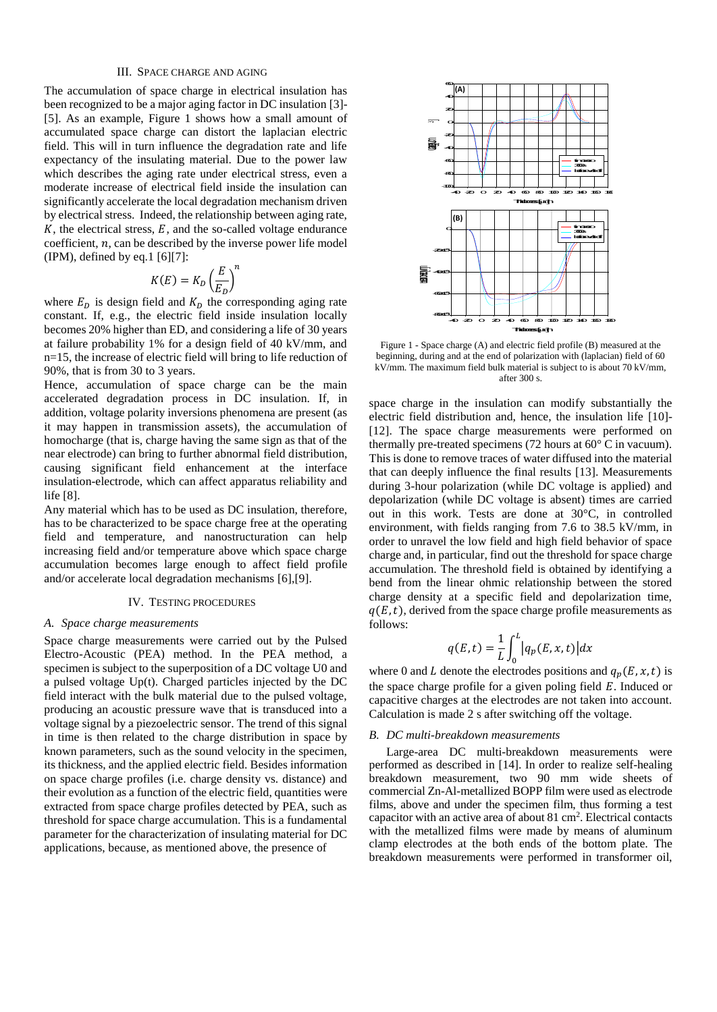# III. SPACE CHARGE AND AGING

The accumulation of space charge in electrical insulation has been recognized to be a major aging factor in DC insulatio[n \[3\]-](#page-4-2) [\[5\].](#page-4-3) As an example, [Figure 1](#page-2-0) shows how a small amount of accumulated space charge can distort the laplacian electric field. This will in turn influence the degradation rate and life expectancy of the insulating material. Due to the power law which describes the aging rate under electrical stress, even a moderate increase of electrical field inside the insulation can significantly accelerate the local degradation mechanism driven by electrical stress. Indeed, the relationship between aging rate,  $K$ , the electrical stress,  $E$ , and the so-called voltage endurance coefficient,  $n$ , can be described by the inverse power life model (IPM), defined by eq.1 [\[6\]\[7\]:](#page-4-4)

$$
K(E) = K_D \left(\frac{E}{E_D}\right)^n
$$

where  $E_D$  is design field and  $K_D$  the corresponding aging rate constant. If, e.g., the electric field inside insulation locally becomes 20% higher than ED, and considering a life of 30 years at failure probability 1% for a design field of 40 kV/mm, and n=15, the increase of electric field will bring to life reduction of 90%, that is from 30 to 3 years.

Hence, accumulation of space charge can be the main accelerated degradation process in DC insulation. If, in addition, voltage polarity inversions phenomena are present (as it may happen in transmission assets), the accumulation of homocharge (that is, charge having the same sign as that of the near electrode) can bring to further abnormal field distribution, causing significant field enhancement at the interface insulation-electrode, which can affect apparatus reliability and life [\[8\].](#page-4-5)

Any material which has to be used as DC insulation, therefore, has to be characterized to be space charge free at the operating field and temperature, and nanostructuration can help increasing field and/or temperature above which space charge accumulation becomes large enough to affect field profile and/or accelerate local degradation mechanisms [\[6\],](#page-4-4)[\[9\].](#page-4-6)

## IV. TESTING PROCEDURES

# *A. Space charge measurements*

Space charge measurements were carried out by the Pulsed Electro-Acoustic (PEA) method. In the PEA method, a specimen is subject to the superposition of a DC voltage U0 and a pulsed voltage Up(t). Charged particles injected by the DC field interact with the bulk material due to the pulsed voltage, producing an acoustic pressure wave that is transduced into a voltage signal by a piezoelectric sensor. The trend of this signal in time is then related to the charge distribution in space by known parameters, such as the sound velocity in the specimen, its thickness, and the applied electric field. Besides information on space charge profiles (i.e. charge density vs. distance) and their evolution as a function of the electric field, quantities were extracted from space charge profiles detected by PEA, such as threshold for space charge accumulation. This is a fundamental parameter for the characterization of insulating material for DC applications, because, as mentioned above, the presence of



<span id="page-2-0"></span>Figure 1 - Space charge (A) and electric field profile (B) measured at the beginning, during and at the end of polarization with (laplacian) field of 60 kV/mm. The maximum field bulk material is subject to is about 70 kV/mm, after 300 s.

space charge in the insulation can modify substantially the electric field distribution and, hence, the insulation life [\[10\]-](#page-4-7) [\[12\].](#page-4-8) The space charge measurements were performed on thermally pre-treated specimens (72 hours at 60° C in vacuum). This is done to remove traces of water diffused into the material that can deeply influence the final results [\[13\].](#page-4-9) Measurements during 3-hour polarization (while DC voltage is applied) and depolarization (while DC voltage is absent) times are carried out in this work. Tests are done at 30°C, in controlled environment, with fields ranging from 7.6 to 38.5 kV/mm, in order to unravel the low field and high field behavior of space charge and, in particular, find out the threshold for space charge accumulation. The threshold field is obtained by identifying a bend from the linear ohmic relationship between the stored charge density at a specific field and depolarization time,  $q(E,t)$ , derived from the space charge profile measurements as follows:

$$
q(E,t) = \frac{1}{L} \int_0^L |q_p(E,x,t)| dx
$$

where 0 and *L* denote the electrodes positions and  $q_p(E, x, t)$  is the space charge profile for a given poling field  $E$ . Induced or capacitive charges at the electrodes are not taken into account. Calculation is made 2 s after switching off the voltage.

# *B. DC multi-breakdown measurements*

Large-area DC multi-breakdown measurements were performed as described in [\[14\].](#page-4-10) In order to realize self-healing breakdown measurement, two 90 mm wide sheets of commercial Zn-Al-metallized BOPP film were used as electrode films, above and under the specimen film, thus forming a test capacitor with an active area of about  $81 \text{ cm}^2$ . Electrical contacts with the metallized films were made by means of aluminum clamp electrodes at the both ends of the bottom plate. The breakdown measurements were performed in transformer oil,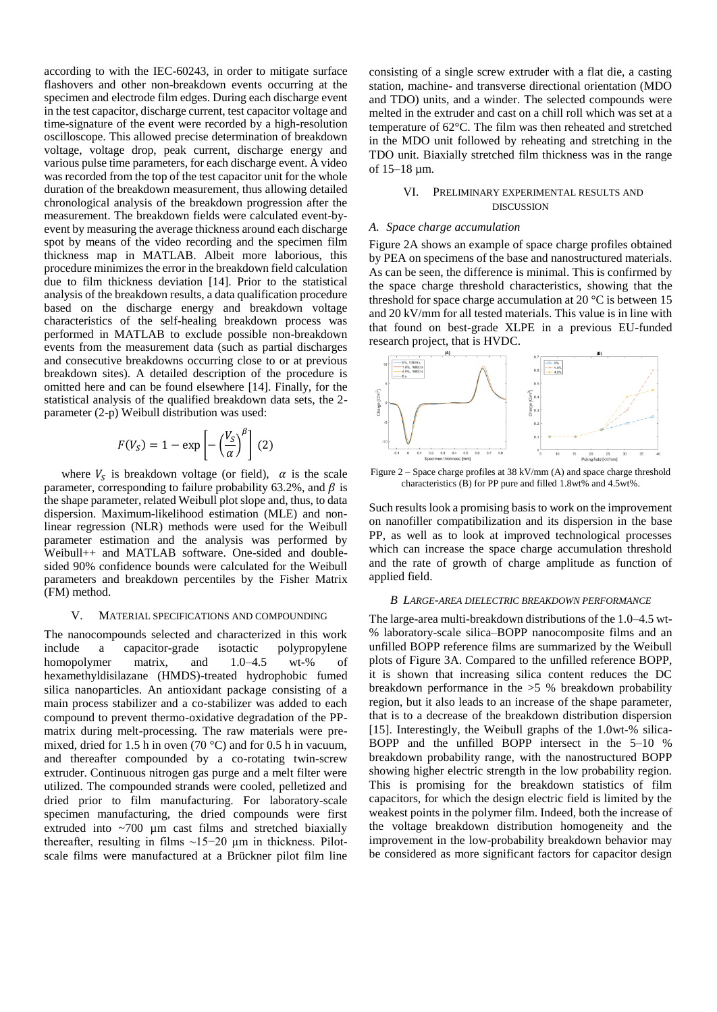according to with the IEC-60243, in order to mitigate surface flashovers and other non-breakdown events occurring at the specimen and electrode film edges. During each discharge event in the test capacitor, discharge current, test capacitor voltage and time-signature of the event were recorded by a high-resolution oscilloscope. This allowed precise determination of breakdown voltage, voltage drop, peak current, discharge energy and various pulse time parameters, for each discharge event. A video was recorded from the top of the test capacitor unit for the whole duration of the breakdown measurement, thus allowing detailed chronological analysis of the breakdown progression after the measurement. The breakdown fields were calculated event-byevent by measuring the average thickness around each discharge spot by means of the video recording and the specimen film thickness map in MATLAB. Albeit more laborious, this procedure minimizes the error in the breakdown field calculation due to film thickness deviation [\[14\].](#page-4-10) Prior to the statistical analysis of the breakdown results, a data qualification procedure based on the discharge energy and breakdown voltage characteristics of the self-healing breakdown process was performed in MATLAB to exclude possible non-breakdown events from the measurement data (such as partial discharges and consecutive breakdowns occurring close to or at previous breakdown sites). A detailed description of the procedure is omitted here and can be found elsewhere [\[14\].](#page-4-10) Finally, for the statistical analysis of the qualified breakdown data sets, the 2 parameter (2-p) Weibull distribution was used:

$$
F(V_S) = 1 - \exp\left[-\left(\frac{V_S}{\alpha}\right)^{\beta}\right] (2)
$$

where  $V_s$  is breakdown voltage (or field),  $\alpha$  is the scale parameter, corresponding to failure probability 63.2%, and  $\beta$  is the shape parameter, related Weibull plot slope and, thus, to data dispersion. Maximum-likelihood estimation (MLE) and nonlinear regression (NLR) methods were used for the Weibull parameter estimation and the analysis was performed by Weibull++ and MATLAB software. One-sided and doublesided 90% confidence bounds were calculated for the Weibull parameters and breakdown percentiles by the Fisher Matrix (FM) method.

#### V. MATERIAL SPECIFICATIONS AND COMPOUNDING

The nanocompounds selected and characterized in this work include a capacitor-grade isotactic polypropylene homopolymer matrix, and 1.0–4.5 wt-% of hexamethyldisilazane (HMDS)-treated hydrophobic fumed silica nanoparticles. An antioxidant package consisting of a main process stabilizer and a co-stabilizer was added to each compound to prevent thermo-oxidative degradation of the PPmatrix during melt-processing. The raw materials were premixed, dried for 1.5 h in oven (70 °C) and for 0.5 h in vacuum, and thereafter compounded by a co-rotating twin-screw extruder. Continuous nitrogen gas purge and a melt filter were utilized. The compounded strands were cooled, pelletized and dried prior to film manufacturing. For laboratory-scale specimen manufacturing, the dried compounds were first extruded into ~700 µm cast films and stretched biaxially thereafter, resulting in films ~15−20 µm in thickness. Pilotscale films were manufactured at a Brückner pilot film line

consisting of a single screw extruder with a flat die, a casting station, machine- and transverse directional orientation (MDO and TDO) units, and a winder. The selected compounds were melted in the extruder and cast on a chill roll which was set at a temperature of 62°C. The film was then reheated and stretched in the MDO unit followed by reheating and stretching in the TDO unit. Biaxially stretched film thickness was in the range of 15–18 µm.

# VI. PRELIMINARY EXPERIMENTAL RESULTS AND DISCUSSION

## *A. Space charge accumulation*

Figure 2A shows an example of space charge profiles obtained by PEA on specimens of the base and nanostructured materials. As can be seen, the difference is minimal. This is confirmed by the space charge threshold characteristics, showing that the threshold for space charge accumulation at  $20^{\circ}$ C is between 15 and 20 kV/mm for all tested materials. This value is in line with that found on best-grade XLPE in a previous EU-funded research project, that is HVDC.



Figure 2 – Space charge profiles at 38 kV/mm (A) and space charge threshold characteristics (B) for PP pure and filled 1.8wt% and 4.5wt%.

Such results look a promising basis to work on the improvement on nanofiller compatibilization and its dispersion in the base PP, as well as to look at improved technological processes which can increase the space charge accumulation threshold and the rate of growth of charge amplitude as function of applied field.

## *B LARGE-AREA DIELECTRIC BREAKDOWN PERFORMANCE*

The large-area multi-breakdown distributions of the 1.0–4.5 wt- % laboratory-scale silica–BOPP nanocomposite films and an unfilled BOPP reference films are summarized by the Weibull plots of [Figure 3A](#page-4-11). Compared to the unfilled reference BOPP, it is shown that increasing silica content reduces the DC breakdown performance in the >5 % breakdown probability region, but it also leads to an increase of the shape parameter, that is to a decrease of the breakdown distribution dispersion [\[15\].](#page-4-12) Interestingly, the Weibull graphs of the 1.0wt-% silica-BOPP and the unfilled BOPP intersect in the 5–10 % breakdown probability range, with the nanostructured BOPP showing higher electric strength in the low probability region. This is promising for the breakdown statistics of film capacitors, for which the design electric field is limited by the weakest points in the polymer film. Indeed, both the increase of the voltage breakdown distribution homogeneity and the improvement in the low-probability breakdown behavior may be considered as more significant factors for capacitor design